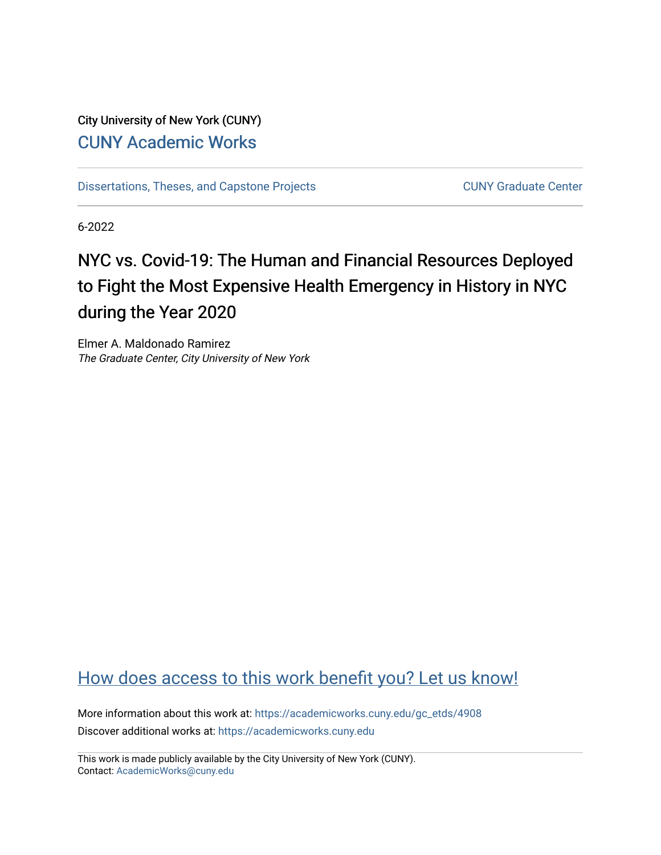## City University of New York (CUNY) [CUNY Academic Works](https://academicworks.cuny.edu/)

[Dissertations, Theses, and Capstone Projects](https://academicworks.cuny.edu/gc_etds) CUNY Graduate Center

6-2022

# NYC vs. Covid-19: The Human and Financial Resources Deployed to Fight the Most Expensive Health Emergency in History in NYC during the Year 2020

Elmer A. Maldonado Ramirez The Graduate Center, City University of New York

## [How does access to this work benefit you? Let us know!](http://ols.cuny.edu/academicworks/?ref=https://academicworks.cuny.edu/gc_etds/4908)

More information about this work at: [https://academicworks.cuny.edu/gc\\_etds/4908](https://academicworks.cuny.edu/gc_etds/4908) Discover additional works at: [https://academicworks.cuny.edu](https://academicworks.cuny.edu/?)

This work is made publicly available by the City University of New York (CUNY). Contact: [AcademicWorks@cuny.edu](mailto:AcademicWorks@cuny.edu)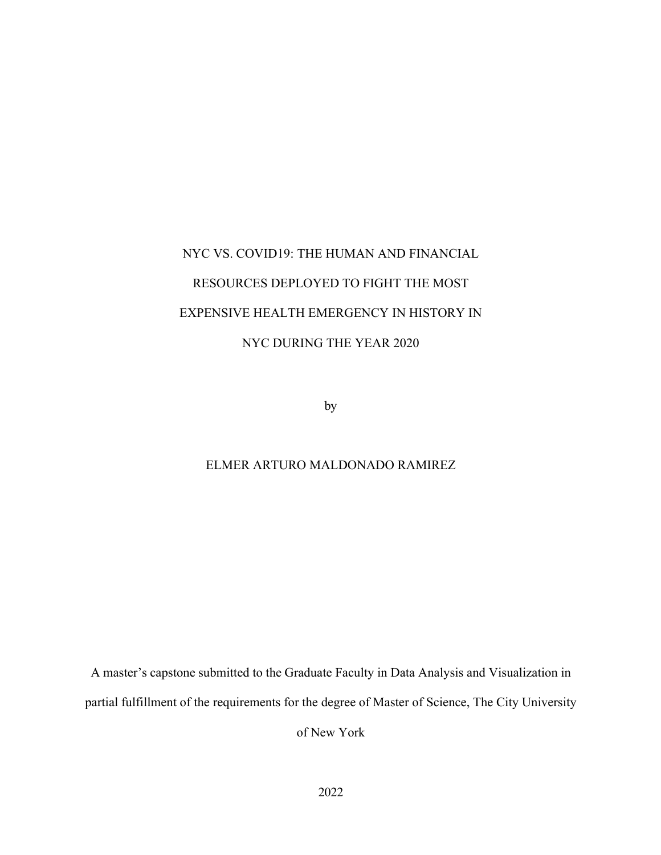# NYC VS. COVID19: THE HUMAN AND FINANCIAL RESOURCES DEPLOYED TO FIGHT THE MOST EXPENSIVE HEALTH EMERGENCY IN HISTORY IN NYC DURING THE YEAR 2020

by

## ELMER ARTURO MALDONADO RAMIREZ

A master's capstone submitted to the Graduate Faculty in Data Analysis and Visualization in partial fulfillment of the requirements for the degree of Master of Science, The City University

of New York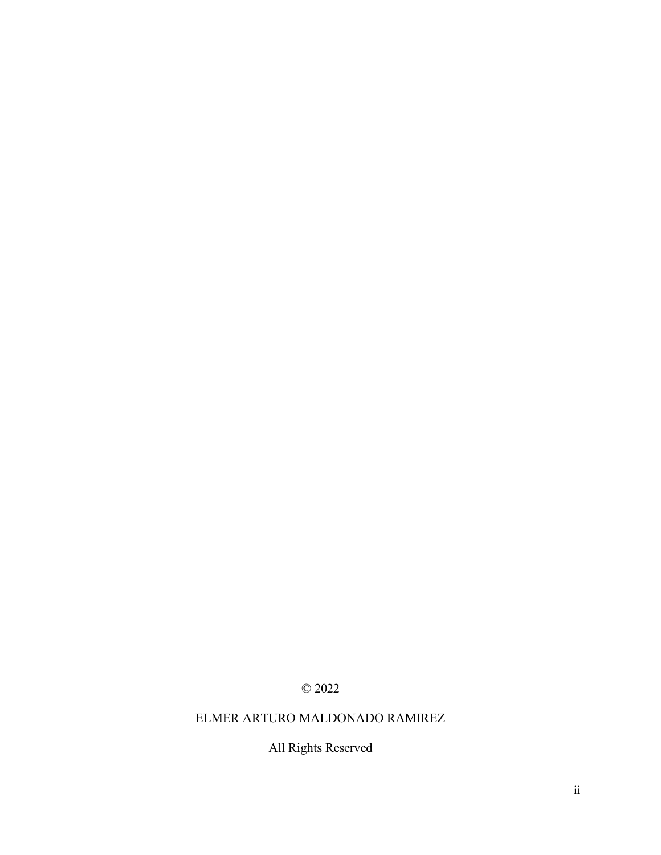## © 2022

## ELMER ARTURO MALDONADO RAMIREZ

All Rights Reserved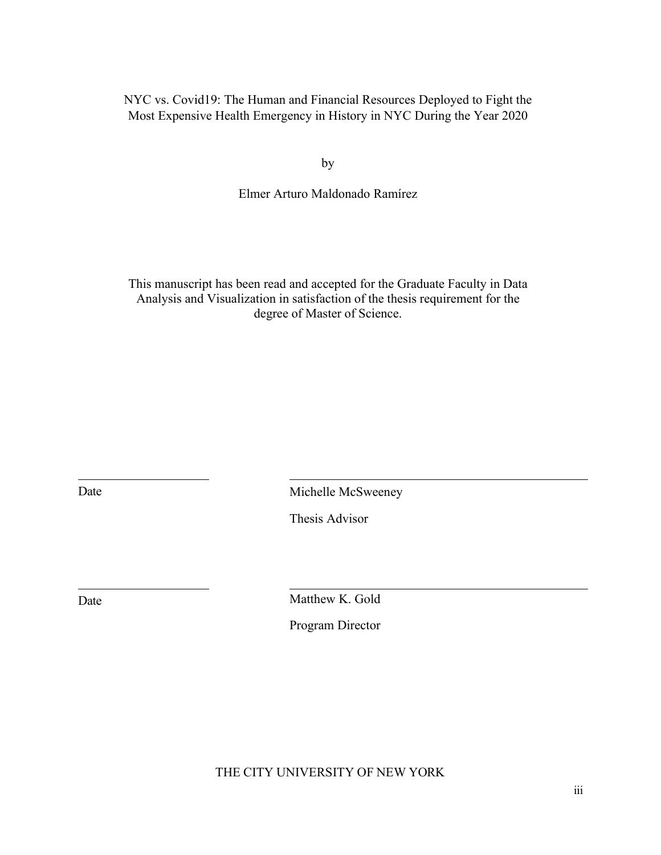NYC vs. Covid19: The Human and Financial Resources Deployed to Fight the Most Expensive Health Emergency in History in NYC During the Year 2020

by

Elmer Arturo Maldonado Ramírez

This manuscript has been read and accepted for the Graduate Faculty in Data Analysis and Visualization in satisfaction of the thesis requirement for the degree of Master of Science.

Date Michelle McSweeney

Thesis Advisor

Date Matthew K. Gold

Program Director

THE CITY UNIVERSITY OF NEW YORK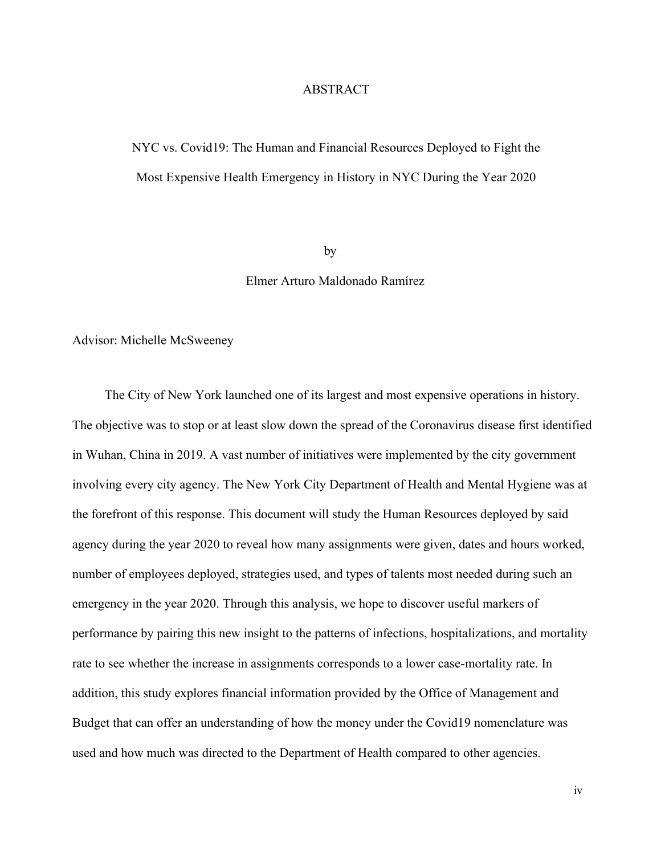### ABSTRACT

## NYC vs. Covid19: The Human and Financial Resources Deployed to Fight the Most Expensive Health Emergency in History in NYC During the Year 2020

by

#### Elmer Arturo Maldonado Ramírez

#### Advisor: Michelle McSweeney

The City of New York launched one of its largest and most expensive operations in history. The objective was to stop or at least slow down the spread of the Coronavirus disease first identified in Wuhan, China in 2019. A vast number of initiatives were implemented by the city government involving every city agency. The New York City Department of Health and Mental Hygiene was at the forefront of this response. This document will study the Human Resources deployed by said agency during the year 2020 to reveal how many assignments were given, dates and hours worked, number of employees deployed, strategies used, and types of talents most needed during such an emergency in the year 2020. Through this analysis, we hope to discover useful markers of performance by pairing this new insight to the patterns of infections, hospitalizations, and mortality rate to see whether the increase in assignments corresponds to a lower case-mortality rate. In addition, this study explores financial information provided by the Office of Management and Budget that can offer an understanding of how the money under the Covid19 nomenclature was used and how much was directed to the Department of Health compared to other agencies.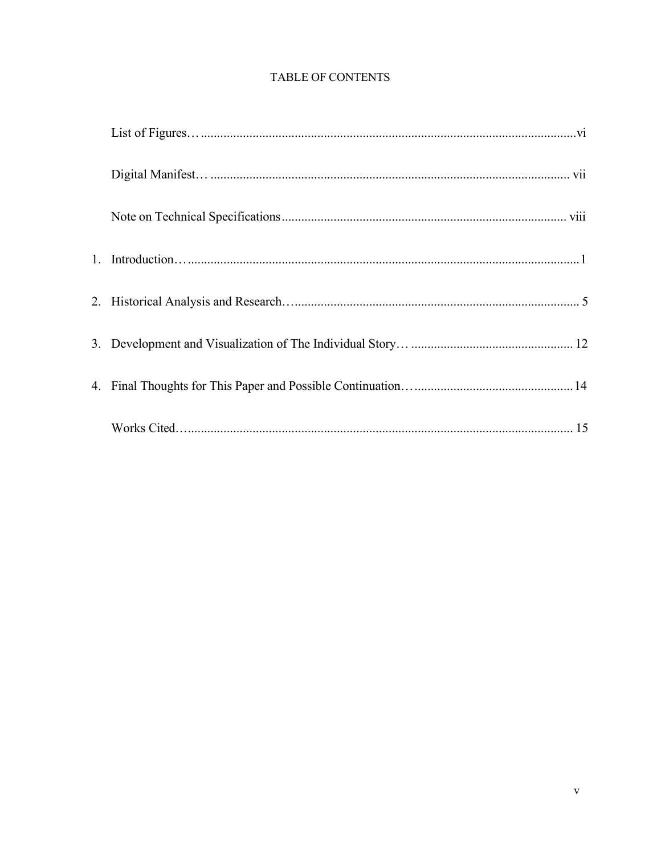## **TABLE OF CONTENTS**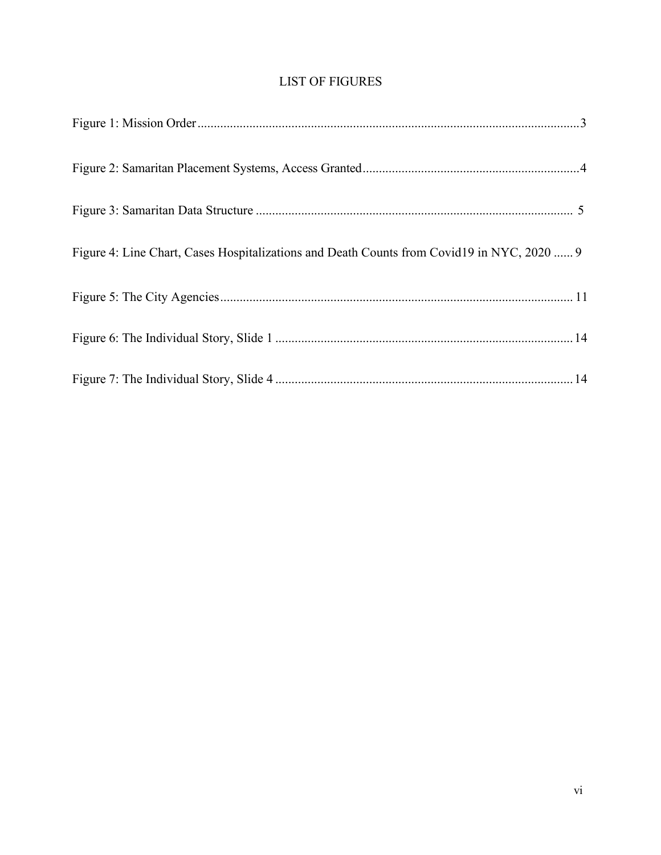## LIST OF FIGURES

| Figure 4: Line Chart, Cases Hospitalizations and Death Counts from Covid19 in NYC, 2020  9 |  |
|--------------------------------------------------------------------------------------------|--|
|                                                                                            |  |
|                                                                                            |  |
|                                                                                            |  |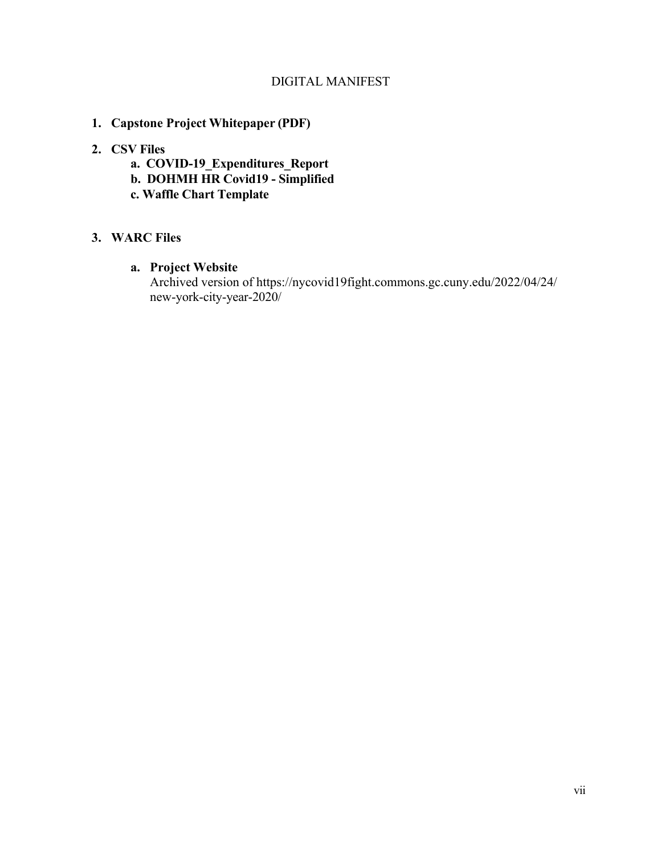### DIGITAL MANIFEST

**1. Capstone Project Whitepaper (PDF)**

## **2. CSV Files**

- **a. COVID-19\_Expenditures\_Report**
- **b. DOHMH HR Covid19 Simplified**
- **c. Waffle Chart Template**

## **3. WARC Files**

## **a. Project Website**

Archived version of https://nycovid19fight.commons.gc.cuny.edu/2022/04/24/ new-york-city-year-2020/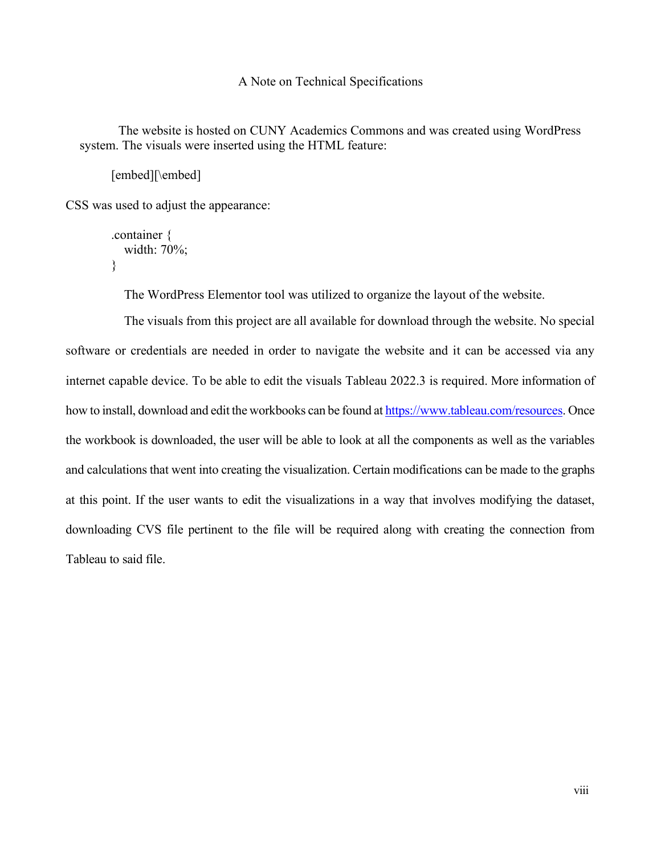#### A Note on Technical Specifications

The website is hosted on CUNY Academics Commons and was created using WordPress system. The visuals were inserted using the HTML feature:

[embed][\embed]

CSS was used to adjust the appearance:

```
.container {
  width: 70%;
}
```
The WordPress Elementor tool was utilized to organize the layout of the website.

The visuals from this project are all available for download through the website. No special software or credentials are needed in order to navigate the website and it can be accessed via any internet capable device. To be able to edit the visuals Tableau 2022.3 is required. More information of how to install, download and edit the workbooks can be found at [https://www.tableau.com/resources.](https://www.tableau.com/resources) Once the workbook is downloaded, the user will be able to look at all the components as well as the variables and calculations that went into creating the visualization. Certain modifications can be made to the graphs at this point. If the user wants to edit the visualizations in a way that involves modifying the dataset, downloading CVS file pertinent to the file will be required along with creating the connection from Tableau to said file.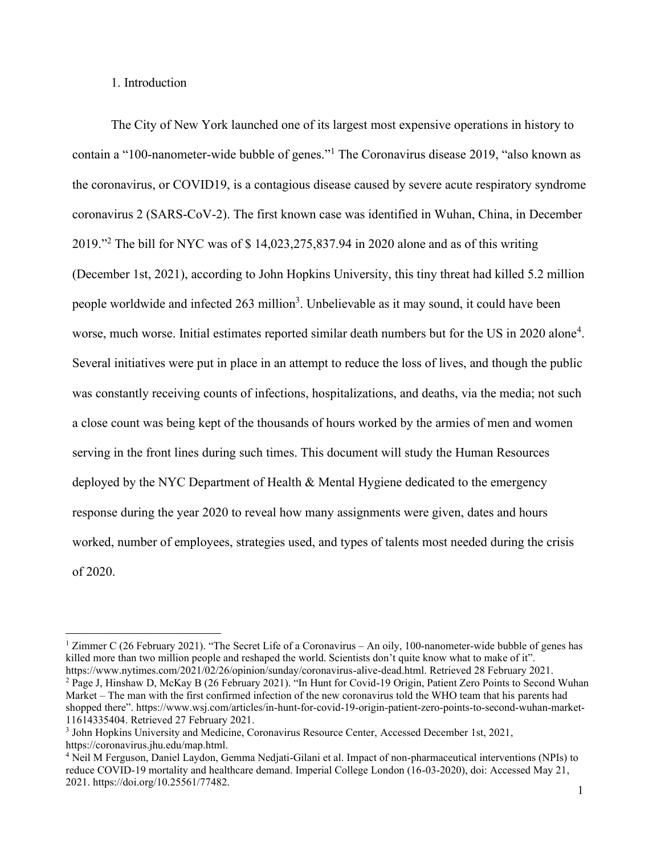1. Introduction

The City of New York launched one of its largest most expensive operations in history to contain a "100-nanometer-wide bubble of genes."<sup>1</sup> The Coronavirus disease 2019, "also known as the coronavirus, or COVID19, is a contagious disease caused by severe acute respiratory syndrome coronavirus 2 (SARS-CoV-2). The first known case was identified in Wuhan, China, in December  $2019."$ <sup>2</sup> The bill for NYC was of \$ 14,023,275,837.94 in 2020 alone and as of this writing (December 1st, 2021), according to John Hopkins University, this tiny threat had killed 5.2 million people worldwide and infected 263 million<sup>3</sup>. Unbelievable as it may sound, it could have been worse, much worse. Initial estimates reported similar death numbers but for the US in 2020 alone<sup>4</sup>. Several initiatives were put in place in an attempt to reduce the loss of lives, and though the public was constantly receiving counts of infections, hospitalizations, and deaths, via the media; not such a close count was being kept of the thousands of hours worked by the armies of men and women serving in the front lines during such times. This document will study the Human Resources deployed by the NYC Department of Health & Mental Hygiene dedicated to the emergency response during the year 2020 to reveal how many assignments were given, dates and hours worked, number of employees, strategies used, and types of talents most needed during the crisis of 2020.

<sup>&</sup>lt;sup>1</sup> Zimmer C (26 February 2021). "The Secret Life of a Coronavirus – An oily, 100-nanometer-wide bubble of genes has killed more than two million people and reshaped the world. Scientists don't quite know what to make of it". https://www.nytimes.com/2021/02/26/opinion/sunday/coronavirus-alive-dead.html. Retrieved 28 February 2021. <sup>2</sup> Page J, Hinshaw D, McKay B (26 February 2021). "In Hunt for Covid-19 Origin, Patient Zero Points to Second Wuhan Market - The man with the first confirmed infection of the new coronavirus told the WHO team that his parents had shopped there". https://www.wsj.com/articles/in-hunt-for-covid-19-origin-patient-zero-points-to-second-wuhan-market-11614335404. Retrieved 27 February 2021.

<sup>3</sup> John Hopkins University and Medicine, Coronavirus Resource Center, Accessed December 1st, 2021, https://coronavirus.jhu.edu/map.html.

<sup>4</sup> Neil M Ferguson, Daniel Laydon, Gemma Nedjati-Gilani et al. Impact of non-pharmaceutical interventions (NPIs) to reduce COVID-19 mortality and healthcare demand. Imperial College London (16-03-2020), doi: Accessed May 21, 2021. https://doi.org/10.25561/77482.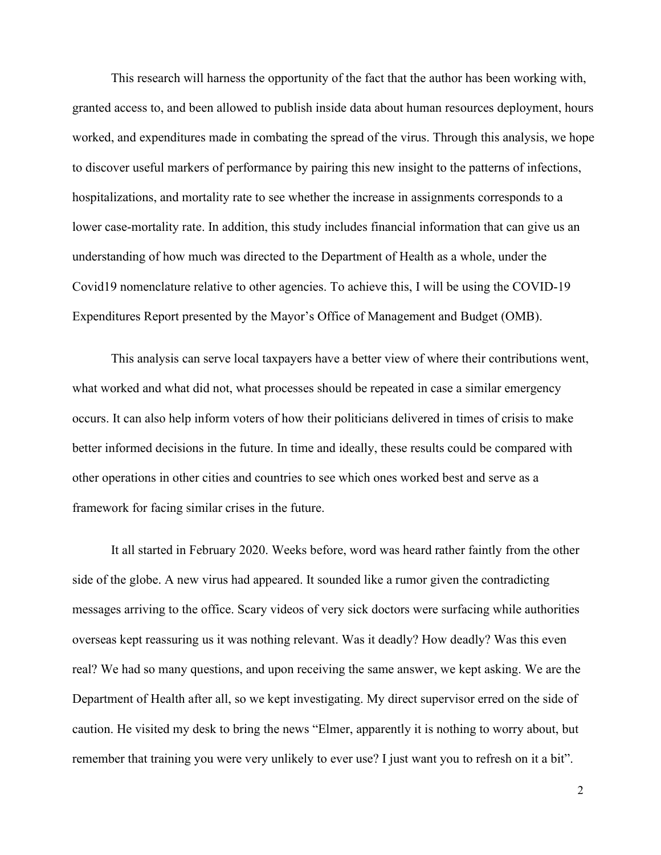This research will harness the opportunity of the fact that the author has been working with, granted access to, and been allowed to publish inside data about human resources deployment, hours worked, and expenditures made in combating the spread of the virus. Through this analysis, we hope to discover useful markers of performance by pairing this new insight to the patterns of infections, hospitalizations, and mortality rate to see whether the increase in assignments corresponds to a lower case-mortality rate. In addition, this study includes financial information that can give us an understanding of how much was directed to the Department of Health as a whole, under the Covid19 nomenclature relative to other agencies. To achieve this, I will be using the COVID-19 Expenditures Report presented by the Mayor's Office of Management and Budget (OMB).

This analysis can serve local taxpayers have a better view of where their contributions went, what worked and what did not, what processes should be repeated in case a similar emergency occurs. It can also help inform voters of how their politicians delivered in times of crisis to make better informed decisions in the future. In time and ideally, these results could be compared with other operations in other cities and countries to see which ones worked best and serve as a framework for facing similar crises in the future.

It all started in February 2020. Weeks before, word was heard rather faintly from the other side of the globe. A new virus had appeared. It sounded like a rumor given the contradicting messages arriving to the office. Scary videos of very sick doctors were surfacing while authorities overseas kept reassuring us it was nothing relevant. Was it deadly? How deadly? Was this even real? We had so many questions, and upon receiving the same answer, we kept asking. We are the Department of Health after all, so we kept investigating. My direct supervisor erred on the side of caution. He visited my desk to bring the news "Elmer, apparently it is nothing to worry about, but remember that training you were very unlikely to ever use? I just want you to refresh on it a bit".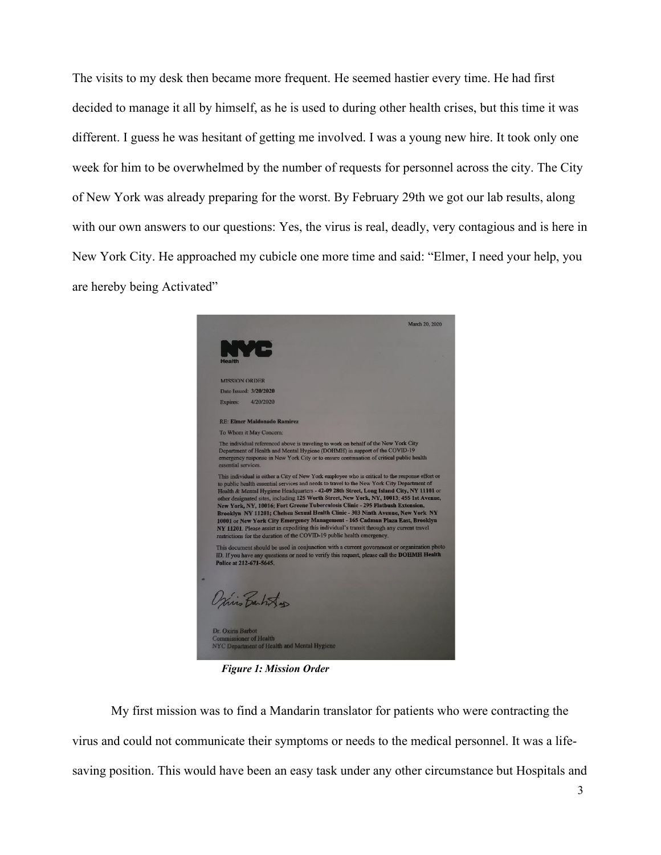The visits to my desk then became more frequent. He seemed hastier every time. He had first decided to manage it all by himself, as he is used to during other health crises, but this time it was different. I guess he was hesitant of getting me involved. I was a young new hire. It took only one week for him to be overwhelmed by the number of requests for personnel across the city. The City of New York was already preparing for the worst. By February 29th we got our lab results, along with our own answers to our questions: Yes, the virus is real, deadly, very contagious and is here in New York City. He approached my cubicle one more time and said: "Elmer, I need your help, you are hereby being Activated"

|                                                                                                                                                                                                                                                                                                                                                                                                                                                                                                                                                                                                                                                                                                                                                                                                                    | March 20, 2020 |
|--------------------------------------------------------------------------------------------------------------------------------------------------------------------------------------------------------------------------------------------------------------------------------------------------------------------------------------------------------------------------------------------------------------------------------------------------------------------------------------------------------------------------------------------------------------------------------------------------------------------------------------------------------------------------------------------------------------------------------------------------------------------------------------------------------------------|----------------|
| N.<br><b>Health</b>                                                                                                                                                                                                                                                                                                                                                                                                                                                                                                                                                                                                                                                                                                                                                                                                |                |
| <b>MISSION ORDER</b>                                                                                                                                                                                                                                                                                                                                                                                                                                                                                                                                                                                                                                                                                                                                                                                               |                |
| Date Issued: 3/20/2020                                                                                                                                                                                                                                                                                                                                                                                                                                                                                                                                                                                                                                                                                                                                                                                             |                |
| Expires:<br>4/20/2020                                                                                                                                                                                                                                                                                                                                                                                                                                                                                                                                                                                                                                                                                                                                                                                              |                |
| <b>RE: Elmer Maldonado Ramirez</b>                                                                                                                                                                                                                                                                                                                                                                                                                                                                                                                                                                                                                                                                                                                                                                                 |                |
| To Whom it May Concern:                                                                                                                                                                                                                                                                                                                                                                                                                                                                                                                                                                                                                                                                                                                                                                                            |                |
| The individual referenced above is traveling to work on behalf of the New York City<br>Department of Health and Mental Hygiene (DOHMH) in support of the COVID-19<br>emergency response in New York City or to ensure continuation of critical public health<br>essential services.                                                                                                                                                                                                                                                                                                                                                                                                                                                                                                                                |                |
| This individual is either a City of New York employee who is critical to the response effort or<br>to public health essential services and needs to travel to the New York City Department of<br>Health & Mental Hygiene Headquarters - 42-09 28th Street, Long Island City, NY 11101 or<br>other designated sites, including 125 Worth Street, New York, NY, 10013; 455 1st Avenue,<br>New York, NY, 10016; Fort Greene Tuberculosis Clinic - 295 Flatbush Extension,<br>Brooklyn NY 11201; Chelsea Sexual Health Clinic - 303 Ninth Avenue, New York NY<br>10001 or New York City Emergency Management - 165 Cadman Plaza East, Brooklyn<br>NY 11201. Please assist in expediting this individual's transit through any current travel<br>restrictions for the duration of the COVID-19 public health emergency. |                |
| This document should be used in conjunction with a current government or organization photo<br>ID. If you have any questions or need to verify this request, please call the DOHMH Health<br>Police at 212-671-5645.                                                                                                                                                                                                                                                                                                                                                                                                                                                                                                                                                                                               |                |
| Oris Bartistas                                                                                                                                                                                                                                                                                                                                                                                                                                                                                                                                                                                                                                                                                                                                                                                                     |                |
| Dr. Oxiris Barbot<br><b>Commissioner of Health</b><br>NYC Department of Health and Mental Hygiene                                                                                                                                                                                                                                                                                                                                                                                                                                                                                                                                                                                                                                                                                                                  |                |

*Figure 1: Mission Order*

My first mission was to find a Mandarin translator for patients who were contracting the virus and could not communicate their symptoms or needs to the medical personnel. It was a lifesaving position. This would have been an easy task under any other circumstance but Hospitals and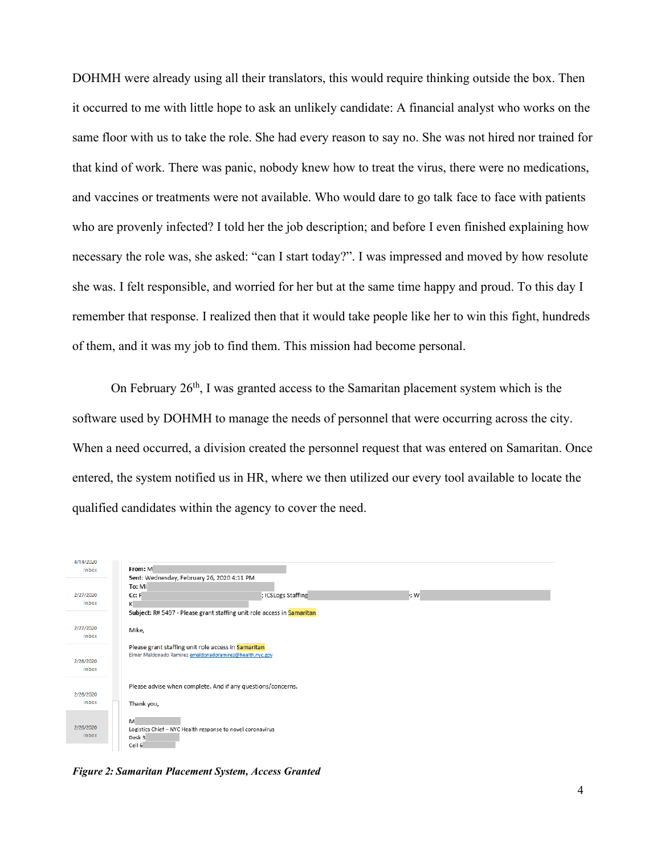DOHMH were already using all their translators, this would require thinking outside the box. Then it occurred to me with little hope to ask an unlikely candidate: A financial analyst who works on the same floor with us to take the role. She had every reason to say no. She was not hired nor trained for that kind of work. There was panic, nobody knew how to treat the virus, there were no medications, and vaccines or treatments were not available. Who would dare to go talk face to face with patients who are provenly infected? I told her the job description; and before I even finished explaining how necessary the role was, she asked: "can I start today?". I was impressed and moved by how resolute she was. I felt responsible, and worried for her but at the same time happy and proud. To this day I remember that response. I realized then that it would take people like her to win this fight, hundreds of them, and it was my job to find them. This mission had become personal.

On February  $26<sup>th</sup>$ , I was granted access to the Samaritan placement system which is the software used by DOHMH to manage the needs of personnel that were occurring across the city. When a need occurred, a division created the personnel request that was entered on Samaritan. Once entered, the system notified us in HR, where we then utilized our every tool available to locate the qualified candidates within the agency to cover the need.



*Figure 2: Samaritan Placement System, Access Granted*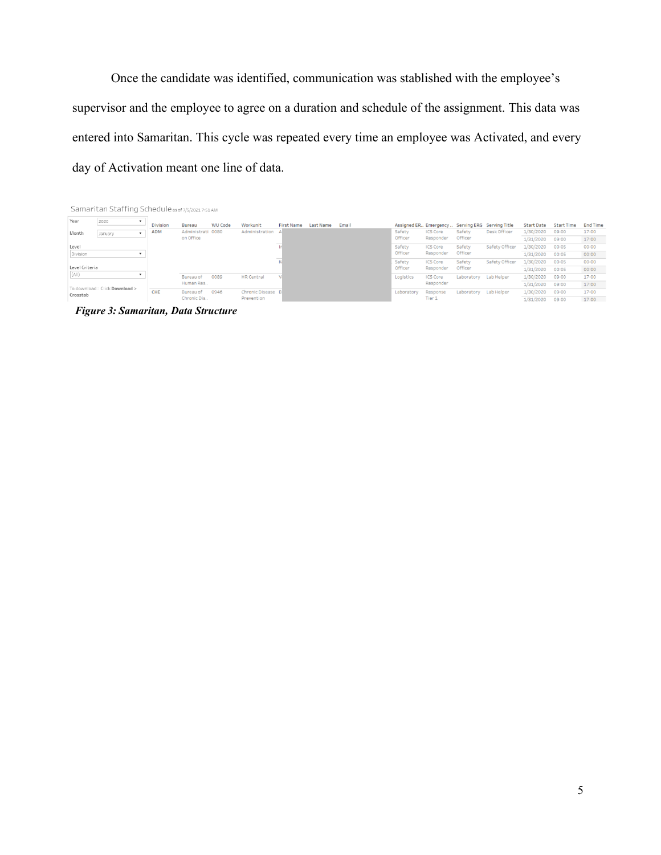Once the candidate was identified, communication was stablished with the employee's supervisor and the employee to agree on a duration and schedule of the assignment. This data was entered into Samaritan. This cycle was repeated every time an employee was Activated, and every day of Activation meant one line of data.

|                                   | Samaritan Staffing Schedule as of 7/5/2021 7:51 AM |                          |                 |                                |                |                                      |                   |           |         |                   |                                                     |                   |                |                   |                   |                 |
|-----------------------------------|----------------------------------------------------|--------------------------|-----------------|--------------------------------|----------------|--------------------------------------|-------------------|-----------|---------|-------------------|-----------------------------------------------------|-------------------|----------------|-------------------|-------------------|-----------------|
| Year                              | 2020                                               | $\mathbf{r}$             | <b>Division</b> | <b>Bureau</b>                  | <b>WU Code</b> | Workunit                             | <b>First Name</b> | Last Name | Email   |                   | Assigned ER., Emergency., Serving ERG Serving Title |                   |                | <b>Start Date</b> | <b>Start Time</b> | <b>End Time</b> |
| Month                             | January                                            |                          | <b>ADM</b>      | Administrati 0080<br>on Office |                | Administration A                     |                   |           |         | Safety<br>Officer | <b>ICS Core</b><br>Responder                        | Safety<br>Officer | Desk Officer   | 1/30/2020         | 09:00             | 17:00           |
|                                   |                                                    |                          |                 |                                |                |                                      |                   |           |         |                   |                                                     |                   |                | 1/31/2020         | 09:00             | 17:00           |
| Level                             |                                                    |                          |                 |                                |                |                                      |                   |           |         | Safety            | <b>ICS Core</b>                                     | Safety            | Safety Officer | 1/30/2020         | 00:05             | 00:00           |
| Division                          |                                                    | $\overline{\phantom{a}}$ |                 |                                |                |                                      |                   |           |         | Officer           | Responder                                           | Officer           |                | 1/31/2020         | 00:05             | 00:00           |
|                                   |                                                    |                          |                 |                                |                |                                      |                   |           |         | Safety            | <b>ICS Core</b>                                     | Safety            | Safety Officer | 1/30/2020         | 00:05             | 00:00           |
| Level Criteria                    |                                                    |                          |                 |                                |                |                                      |                   |           | Officer | Responder         | Officer                                             |                   | 1/31/2020      | 00:05             | 00:00             |                 |
| (A  )<br>$\overline{\phantom{0}}$ |                                                    |                          |                 | Bureau of<br>Human Res         | 0089           | <b>HR Central</b>                    |                   |           |         | Logistics         | <b>ICS Core</b><br>Responder                        | Laboratory        | Lab Helper     | 1/30/2020         | 09:00             | 17:00           |
| To download: Click Download >     |                                                    |                          |                 |                                |                |                                      |                   |           |         |                   |                                                     |                   |                | 1/31/2020         | 09:00             | 17:00           |
| Crosstab                          |                                                    |                          | CHE             | Bureau of<br>Chronic Dis       | 0946           | <b>Chronic Disease</b><br>Prevention |                   |           |         | Laboratory        | Response<br>Tier 1                                  | Laboratory        | Lab Helper     | 1/30/2020         | 09:00             | 17:00           |
|                                   |                                                    |                          |                 |                                |                |                                      |                   |           |         |                   |                                                     |                   |                | 1/31/2020         | 09:00             | 17:00           |

*Figure 3: Samaritan, Data Structure*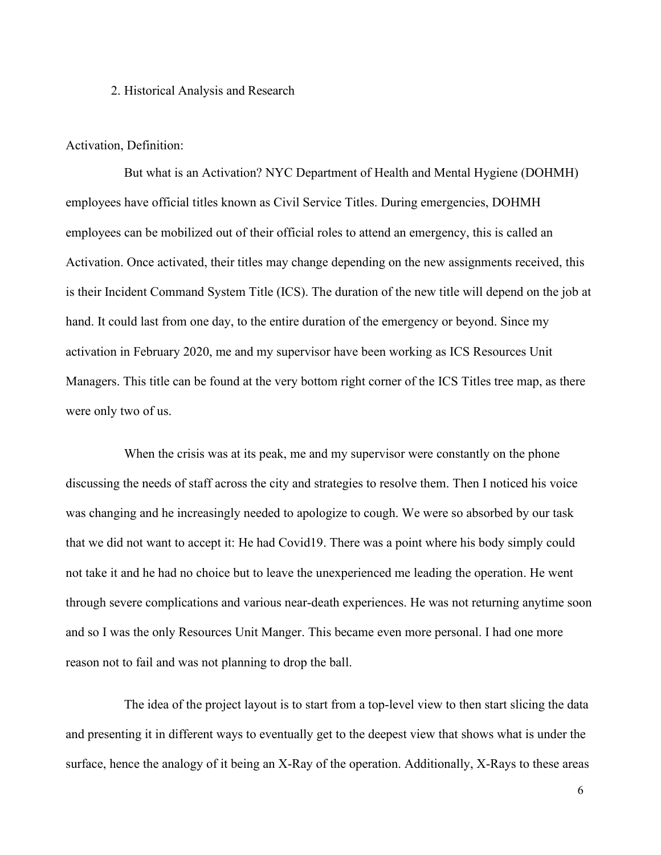#### 2. Historical Analysis and Research

#### Activation, Definition:

But what is an Activation? NYC Department of Health and Mental Hygiene (DOHMH) employees have official titles known as Civil Service Titles. During emergencies, DOHMH employees can be mobilized out of their official roles to attend an emergency, this is called an Activation. Once activated, their titles may change depending on the new assignments received, this is their Incident Command System Title (ICS). The duration of the new title will depend on the job at hand. It could last from one day, to the entire duration of the emergency or beyond. Since my activation in February 2020, me and my supervisor have been working as ICS Resources Unit Managers. This title can be found at the very bottom right corner of the ICS Titles tree map, as there were only two of us.

When the crisis was at its peak, me and my supervisor were constantly on the phone discussing the needs of staff across the city and strategies to resolve them. Then I noticed his voice was changing and he increasingly needed to apologize to cough. We were so absorbed by our task that we did not want to accept it: He had Covid19. There was a point where his body simply could not take it and he had no choice but to leave the unexperienced me leading the operation. He went through severe complications and various near-death experiences. He was not returning anytime soon and so I was the only Resources Unit Manger. This became even more personal. I had one more reason not to fail and was not planning to drop the ball.

The idea of the project layout is to start from a top-level view to then start slicing the data and presenting it in different ways to eventually get to the deepest view that shows what is under the surface, hence the analogy of it being an X-Ray of the operation. Additionally, X-Rays to these areas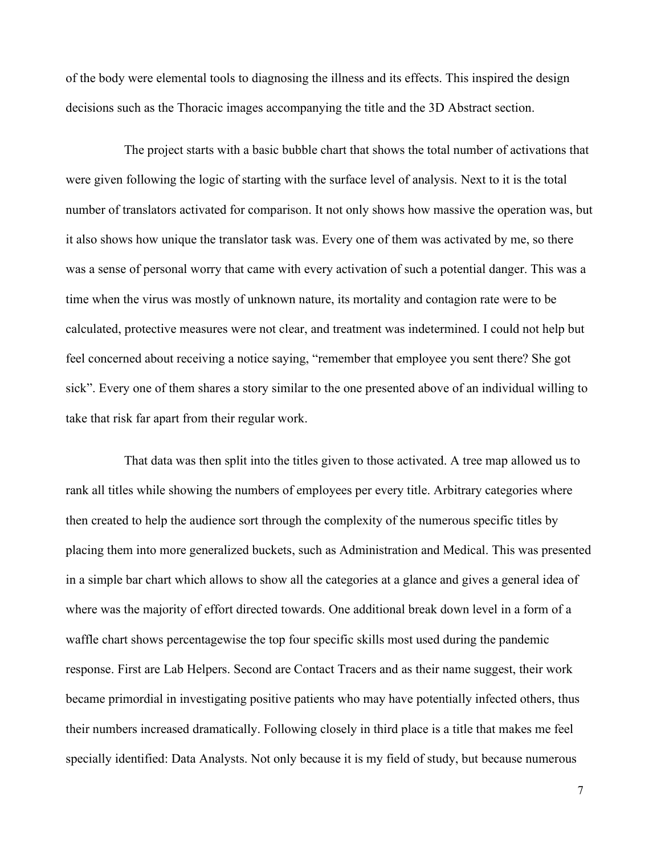of the body were elemental tools to diagnosing the illness and its effects. This inspired the design decisions such as the Thoracic images accompanying the title and the 3D Abstract section.

The project starts with a basic bubble chart that shows the total number of activations that were given following the logic of starting with the surface level of analysis. Next to it is the total number of translators activated for comparison. It not only shows how massive the operation was, but it also shows how unique the translator task was. Every one of them was activated by me, so there was a sense of personal worry that came with every activation of such a potential danger. This was a time when the virus was mostly of unknown nature, its mortality and contagion rate were to be calculated, protective measures were not clear, and treatment was indetermined. I could not help but feel concerned about receiving a notice saying, "remember that employee you sent there? She got sick". Every one of them shares a story similar to the one presented above of an individual willing to take that risk far apart from their regular work.

That data was then split into the titles given to those activated. A tree map allowed us to rank all titles while showing the numbers of employees per every title. Arbitrary categories where then created to help the audience sort through the complexity of the numerous specific titles by placing them into more generalized buckets, such as Administration and Medical. This was presented in a simple bar chart which allows to show all the categories at a glance and gives a general idea of where was the majority of effort directed towards. One additional break down level in a form of a waffle chart shows percentagewise the top four specific skills most used during the pandemic response. First are Lab Helpers. Second are Contact Tracers and as their name suggest, their work became primordial in investigating positive patients who may have potentially infected others, thus their numbers increased dramatically. Following closely in third place is a title that makes me feel specially identified: Data Analysts. Not only because it is my field of study, but because numerous

7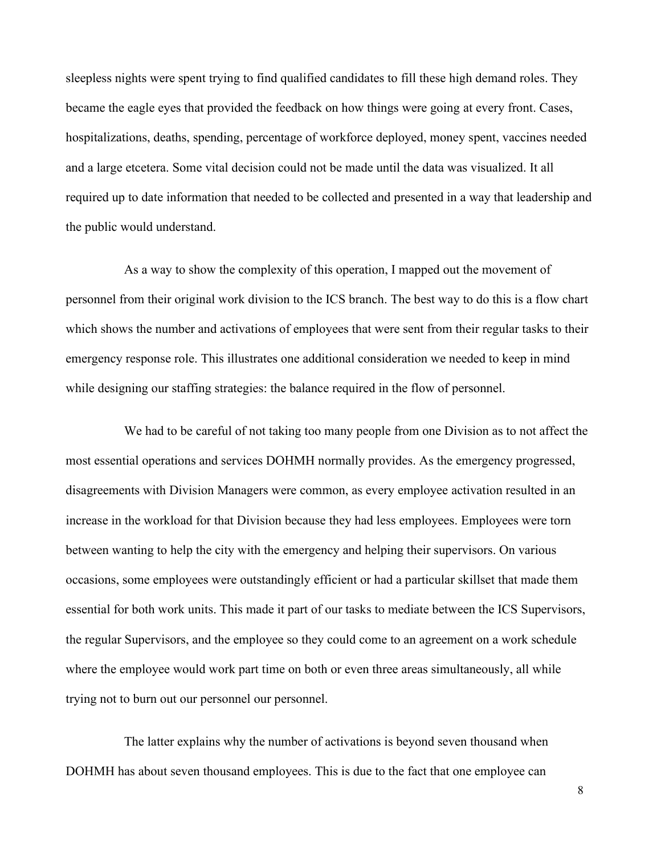sleepless nights were spent trying to find qualified candidates to fill these high demand roles. They became the eagle eyes that provided the feedback on how things were going at every front. Cases, hospitalizations, deaths, spending, percentage of workforce deployed, money spent, vaccines needed and a large etcetera. Some vital decision could not be made until the data was visualized. It all required up to date information that needed to be collected and presented in a way that leadership and the public would understand.

As a way to show the complexity of this operation, I mapped out the movement of personnel from their original work division to the ICS branch. The best way to do this is a flow chart which shows the number and activations of employees that were sent from their regular tasks to their emergency response role. This illustrates one additional consideration we needed to keep in mind while designing our staffing strategies: the balance required in the flow of personnel.

We had to be careful of not taking too many people from one Division as to not affect the most essential operations and services DOHMH normally provides. As the emergency progressed, disagreements with Division Managers were common, as every employee activation resulted in an increase in the workload for that Division because they had less employees. Employees were torn between wanting to help the city with the emergency and helping their supervisors. On various occasions, some employees were outstandingly efficient or had a particular skillset that made them essential for both work units. This made it part of our tasks to mediate between the ICS Supervisors, the regular Supervisors, and the employee so they could come to an agreement on a work schedule where the employee would work part time on both or even three areas simultaneously, all while trying not to burn out our personnel our personnel.

The latter explains why the number of activations is beyond seven thousand when DOHMH has about seven thousand employees. This is due to the fact that one employee can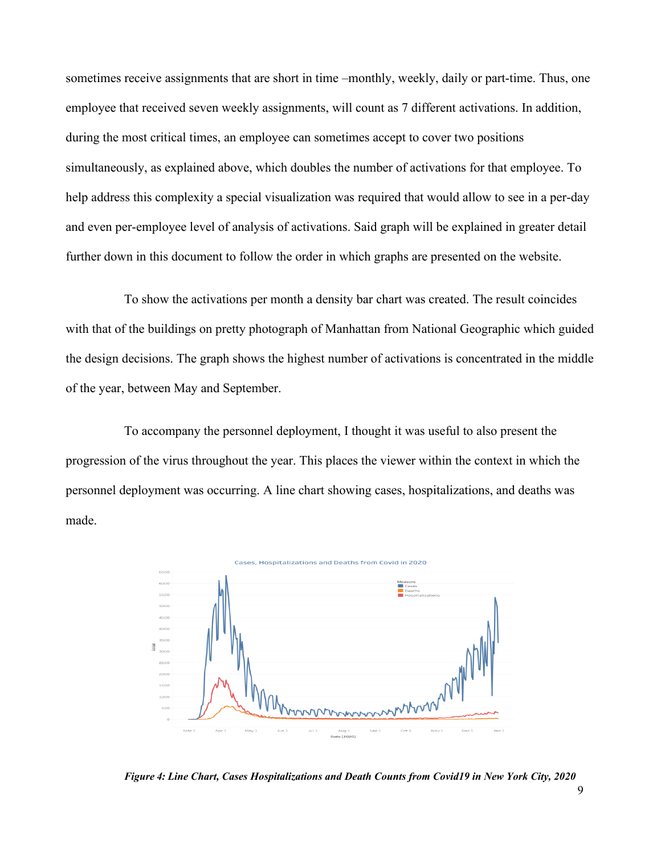sometimes receive assignments that are short in time  $-$ monthly, weekly, daily or part-time. Thus, one employee that received seven weekly assignments, will count as 7 different activations. In addition, during the most critical times, an employee can sometimes accept to cover two positions simultaneously, as explained above, which doubles the number of activations for that employee. To help address this complexity a special visualization was required that would allow to see in a per-day and even per-employee level of analysis of activations. Said graph will be explained in greater detail further down in this document to follow the order in which graphs are presented on the website.

To show the activations per month a density bar chart was created. The result coincides with that of the buildings on pretty photograph of Manhattan from National Geographic which guided the design decisions. The graph shows the highest number of activations is concentrated in the middle of the year, between May and September.

To accompany the personnel deployment, I thought it was useful to also present the progression of the virus throughout the year. This places the viewer within the context in which the personnel deployment was occurring. A line chart showing cases, hospitalizations, and deaths was made.



*Figure 4: Line Chart, Cases Hospitalizations and Death Counts from Covid19 in New York City, 2020*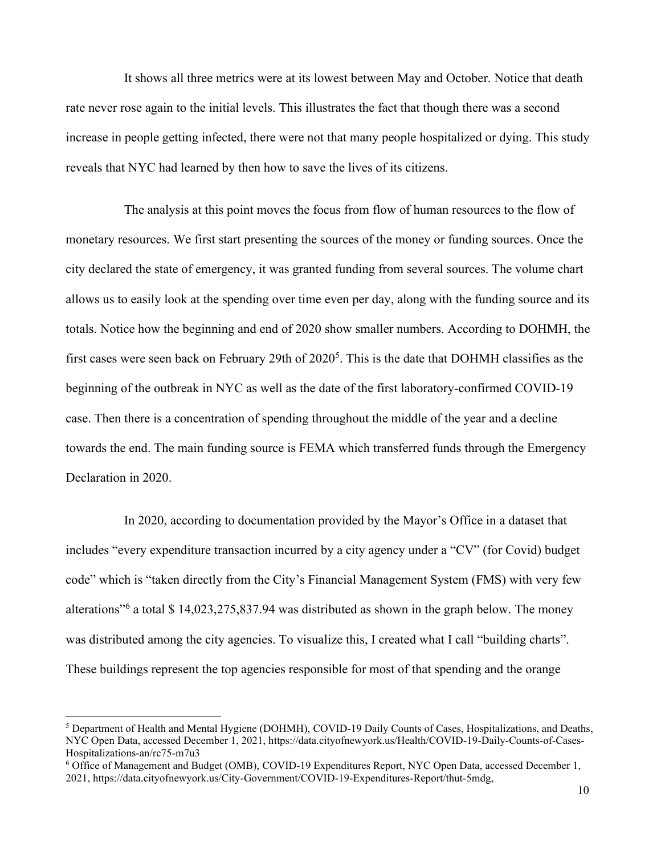It shows all three metrics were at its lowest between May and October. Notice that death rate never rose again to the initial levels. This illustrates the fact that though there was a second increase in people getting infected, there were not that many people hospitalized or dying. This study reveals that NYC had learned by then how to save the lives of its citizens.

The analysis at this point moves the focus from flow of human resources to the flow of monetary resources. We first start presenting the sources of the money or funding sources. Once the city declared the state of emergency, it was granted funding from several sources. The volume chart allows us to easily look at the spending over time even per day, along with the funding source and its totals. Notice how the beginning and end of 2020 show smaller numbers. According to DOHMH, the first cases were seen back on February 29th of 2020<sup>5</sup>. This is the date that DOHMH classifies as the beginning of the outbreak in NYC as well as the date of the first laboratory-confirmed COVID-19 case. Then there is a concentration of spending throughout the middle of the year and a decline towards the end. The main funding source is FEMA which transferred funds through the Emergency Declaration in 2020.

In 2020, according to documentation provided by the Mayor's Office in a dataset that includes "every expenditure transaction incurred by a city agency under a "CV" (for Covid) budget code" which is "taken directly from the City's Financial Management System (FMS) with very few alterations"<sup>6</sup> a total \$ 14,023,275,837.94 was distributed as shown in the graph below. The money was distributed among the city agencies. To visualize this, I created what I call "building charts". These buildings represent the top agencies responsible for most of that spending and the orange

<sup>5</sup> Department of Health and Mental Hygiene (DOHMH), COVID-19 Daily Counts of Cases, Hospitalizations, and Deaths, NYC Open Data, accessed December 1, 2021, https://data.cityofnewyork.us/Health/COVID-19-Daily-Counts-of-Cases-Hospitalizations-an/rc75-m7u3

<sup>6</sup> Office of Management and Budget (OMB), COVID-19 Expenditures Report, NYC Open Data, accessed December 1, 2021, https://data.cityofnewyork.us/City-Government/COVID-19-Expenditures-Report/thut-5mdg,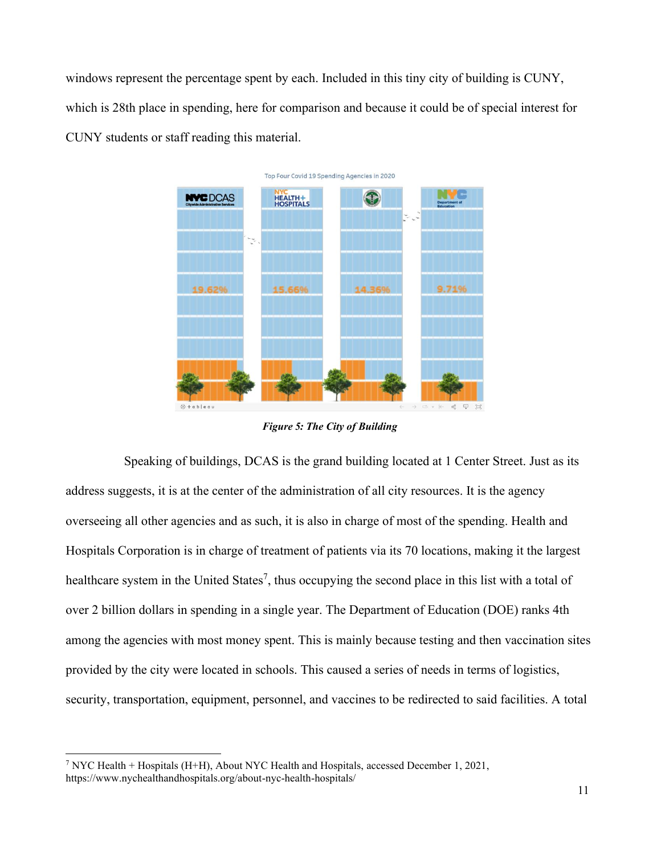windows represent the percentage spent by each. Included in this tiny city of building is CUNY, which is 28th place in spending, here for comparison and because it could be of special interest for CUNY students or staff reading this material.



*Figure 5: The City of Building*

Speaking of buildings, DCAS is the grand building located at 1 Center Street. Just as its address suggests, it is at the center of the administration of all city resources. It is the agency overseeing all other agencies and as such, it is also in charge of most of the spending. Health and Hospitals Corporation is in charge of treatment of patients via its 70 locations, making it the largest healthcare system in the United States<sup>7</sup>, thus occupying the second place in this list with a total of over 2 billion dollars in spending in a single year. The Department of Education (DOE) ranks 4th among the agencies with most money spent. This is mainly because testing and then vaccination sites provided by the city were located in schools. This caused a series of needs in terms of logistics, security, transportation, equipment, personnel, and vaccines to be redirected to said facilities. A total

<sup>7</sup> NYC Health + Hospitals (H+H), About NYC Health and Hospitals, accessed December 1, 2021, https://www.nychealthandhospitals.org/about-nyc-health-hospitals/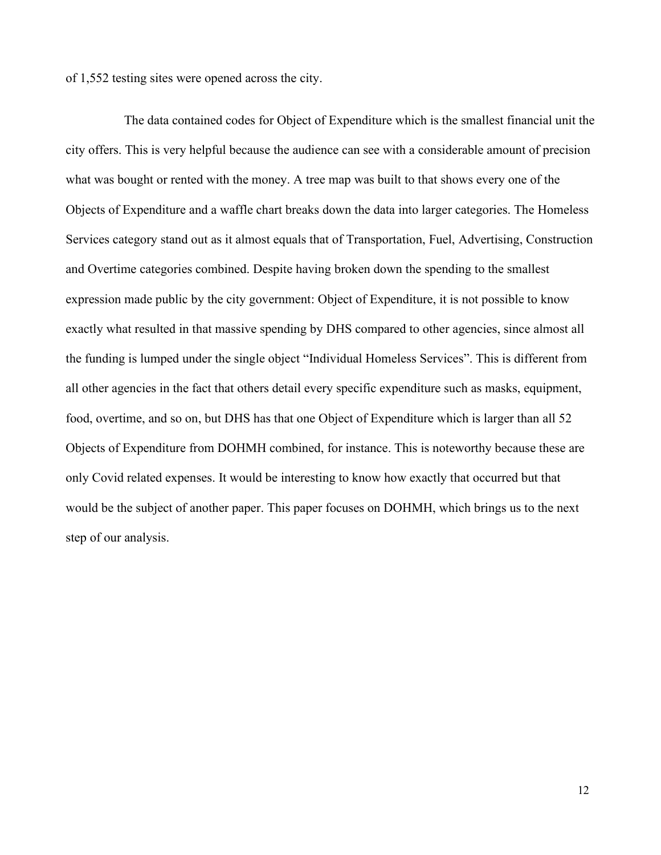of 1,552 testing sites were opened across the city.

The data contained codes for Object of Expenditure which is the smallest financial unit the city offers. This is very helpful because the audience can see with a considerable amount of precision what was bought or rented with the money. A tree map was built to that shows every one of the Objects of Expenditure and a waffle chart breaks down the data into larger categories. The Homeless Services category stand out as it almost equals that of Transportation, Fuel, Advertising, Construction and Overtime categories combined. Despite having broken down the spending to the smallest expression made public by the city government: Object of Expenditure, it is not possible to know exactly what resulted in that massive spending by DHS compared to other agencies, since almost all the funding is lumped under the single object "Individual Homeless Services". This is different from all other agencies in the fact that others detail every specific expenditure such as masks, equipment, food, overtime, and so on, but DHS has that one Object of Expenditure which is larger than all 52 Objects of Expenditure from DOHMH combined, for instance. This is noteworthy because these are only Covid related expenses. It would be interesting to know how exactly that occurred but that would be the subject of another paper. This paper focuses on DOHMH, which brings us to the next step of our analysis.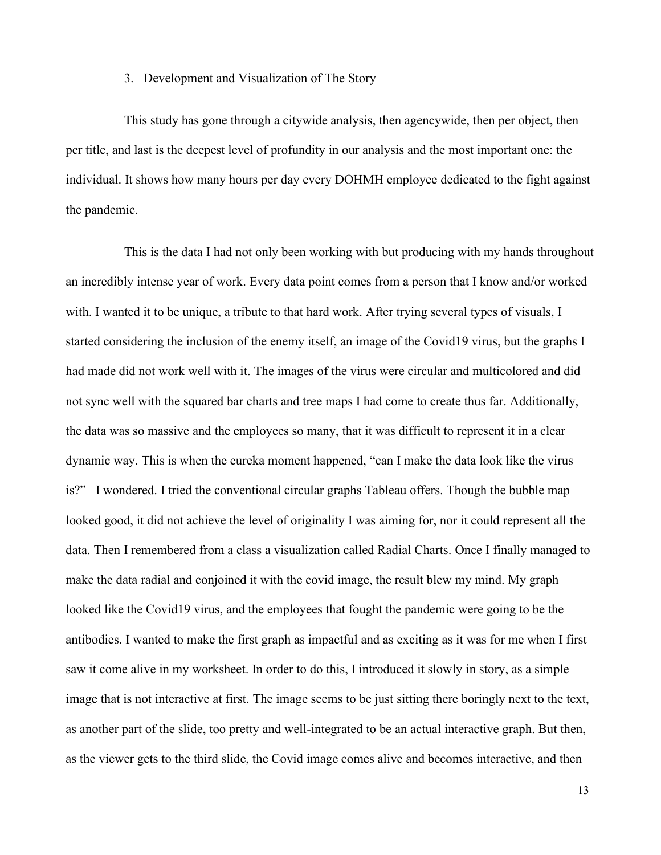### 3. Development and Visualization of The Story

This study has gone through a citywide analysis, then agencywide, then per object, then per title, and last is the deepest level of profundity in our analysis and the most important one: the individual. It shows how many hours per day every DOHMH employee dedicated to the fight against the pandemic.

This is the data I had not only been working with but producing with my hands throughout an incredibly intense year of work. Every data point comes from a person that I know and/or worked with. I wanted it to be unique, a tribute to that hard work. After trying several types of visuals, I started considering the inclusion of the enemy itself, an image of the Covid19 virus, but the graphs I had made did not work well with it. The images of the virus were circular and multicolored and did not sync well with the squared bar charts and tree maps I had come to create thus far. Additionally, the data was so massive and the employees so many, that it was difficult to represent it in a clear dynamic way. This is when the eureka moment happened, "can I make the data look like the virus  $is?$ " $-I$  wondered. I tried the conventional circular graphs Tableau offers. Though the bubble map looked good, it did not achieve the level of originality I was aiming for, nor it could represent all the data. Then I remembered from a class a visualization called Radial Charts. Once I finally managed to make the data radial and conjoined it with the covid image, the result blew my mind. My graph looked like the Covid19 virus, and the employees that fought the pandemic were going to be the antibodies. I wanted to make the first graph as impactful and as exciting as it was for me when I first saw it come alive in my worksheet. In order to do this, I introduced it slowly in story, as a simple image that is not interactive at first. The image seems to be just sitting there boringly next to the text, as another part of the slide, too pretty and well-integrated to be an actual interactive graph. But then, as the viewer gets to the third slide, the Covid image comes alive and becomes interactive, and then

13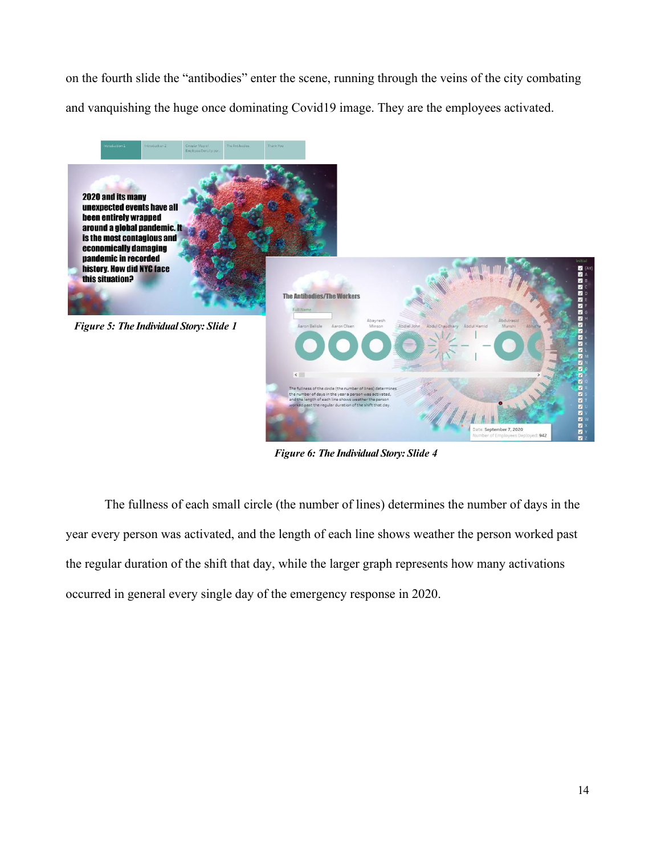on the fourth slide the "antibodies" enter the scene, running through the veins of the city combating and vanquishing the huge once dominating Covid19 image. They are the employees activated.



*Figure 6: The Individual Story: Slide 4*

The fullness of each small circle (the number of lines) determines the number of days in the year every person was activated, and the length of each line shows weather the person worked past the regular duration of the shift that day, while the larger graph represents how many activations occurred in general every single day of the emergency response in 2020.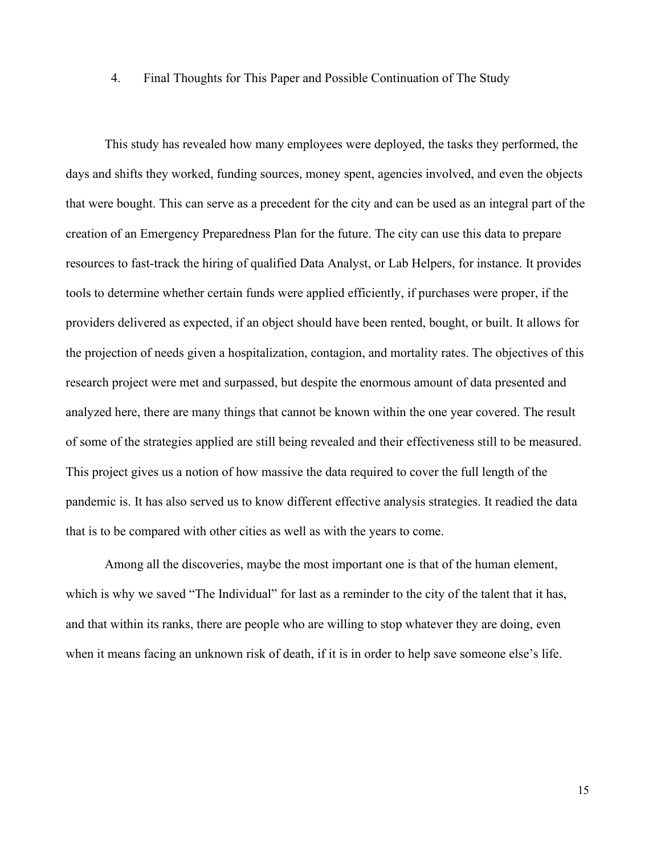#### 4. Final Thoughts for This Paper and Possible Continuation of The Study

This study has revealed how many employees were deployed, the tasks they performed, the days and shifts they worked, funding sources, money spent, agencies involved, and even the objects that were bought. This can serve as a precedent for the city and can be used as an integral part of the creation of an Emergency Preparedness Plan for the future. The city can use this data to prepare resources to fast-track the hiring of qualified Data Analyst, or Lab Helpers, for instance. It provides tools to determine whether certain funds were applied efficiently, if purchases were proper, if the providers delivered as expected, if an object should have been rented, bought, or built. It allows for the projection of needs given a hospitalization, contagion, and mortality rates. The objectives of this research project were met and surpassed, but despite the enormous amount of data presented and analyzed here, there are many things that cannot be known within the one year covered. The result of some of the strategies applied are still being revealed and their effectiveness still to be measured. This project gives us a notion of how massive the data required to cover the full length of the pandemic is. It has also served us to know different effective analysis strategies. It readied the data that is to be compared with other cities as well as with the years to come.

Among all the discoveries, maybe the most important one is that of the human element, which is why we saved "The Individual" for last as a reminder to the city of the talent that it has, and that within its ranks, there are people who are willing to stop whatever they are doing, even when it means facing an unknown risk of death, if it is in order to help save someone else's life.

15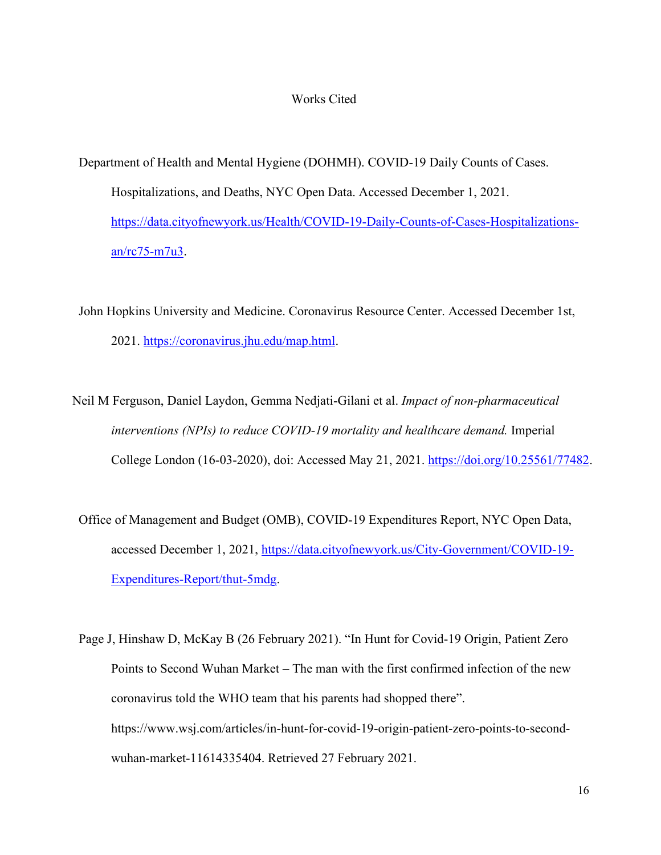#### Works Cited

 Department of Health and Mental Hygiene (DOHMH). COVID-19 Daily Counts of Cases. Hospitalizations, and Deaths, NYC Open Data. Accessed December 1, 2021. [https://data.cityofnewyork.us/Health/COVID-19-Daily-Counts-of-Cases-Hospitalizations](https://data.cityofnewyork.us/Health/COVID-19-Daily-Counts-of-Cases-Hospitalizations-an/rc75-m7u3)[an/rc75-m7u3.](https://data.cityofnewyork.us/Health/COVID-19-Daily-Counts-of-Cases-Hospitalizations-an/rc75-m7u3)

 John Hopkins University and Medicine. Coronavirus Resource Center. Accessed December 1st, 2021. [https://coronavirus.jhu.edu/map.html.](https://coronavirus.jhu.edu/map.html)

- Neil M Ferguson, Daniel Laydon, Gemma Nedjati-Gilani et al. *Impact of non-pharmaceutical interventions (NPIs) to reduce COVID-19 mortality and healthcare demand.* Imperial College London (16-03-2020), doi: Accessed May 21, 2021. [https://doi.org/10.25561/77482.](https://doi.org/10.25561/77482)
- Office of Management and Budget (OMB), COVID-19 Expenditures Report, NYC Open Data, accessed December 1, 2021, [https://data.cityofnewyork.us/City-Government/COVID-19-](https://data.cityofnewyork.us/City-Government/COVID-19-Expenditures-Report/thut-5mdg) [Expenditures-Report/thut-5mdg.](https://data.cityofnewyork.us/City-Government/COVID-19-Expenditures-Report/thut-5mdg)
- Page J, Hinshaw D, McKay B (26 February 2021). "In Hunt for Covid-19 Origin, Patient Zero Points to Second Wuhan Market  $-$  The man with the first confirmed infection of the new coronavirus told the WHO team that his parents had shopped there". https://www.wsj.com/articles/in-hunt-for-covid-19-origin-patient-zero-points-to-secondwuhan-market-11614335404. Retrieved 27 February 2021.